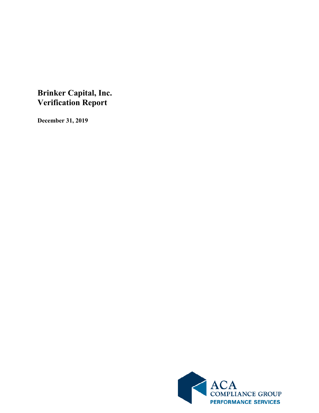## **Brinker Capital, Inc. Verification Report**

**December 31, 2019**